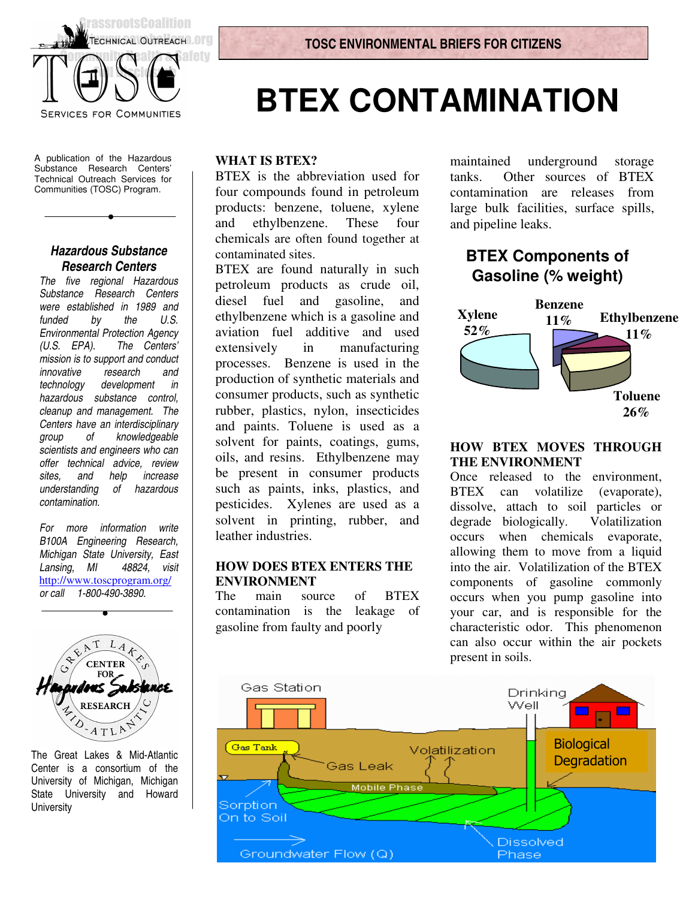

A publication of the Hazardous Substance Research Centers' Technical Outreach Services for Communities (TOSC) Program.

#### *Hazardous Substance Research Centers*

*The five regional Hazardous Substance Research Centers were established in 1989 and funded by the Environmental Protection Agency (U.S. EPA). The Centers' mission is to support and conduct innovative research and technology development in hazardous substance control, cleanup and management. The Centers have an interdisciplinary group of knowledgeable scientists and engineers who can offer technical advice, review sites, and help increase understanding of hazardous contamination.*

*For more information write B100A Engineering Research, Michigan State University, East Lansing, MI 48824, visit* http://www.toscprogram.org/ *or call 1-800-490-3890.*



The Great Lakes & Mid-Atlantic Center is a consortium of the University of Michigan, Michigan State University and Howard **University** 

# **BTEX CONTAMINATION**

#### **WHAT IS BTEX?**

BTEX is the abbreviation used for four compounds found in petroleum products: benzene, toluene, xylene and ethylbenzene. These four chemicals are often found together at contaminated sites.

BTEX are found naturally in such petroleum products as crude oil, diesel fuel and gasoline, and ethylbenzene which is a gasoline and aviation fuel additive and used extensively in manufacturing processes. Benzene is used in the production of synthetic materials and consumer products, such as synthetic rubber, plastics, nylon, insecticides and paints. Toluene is used as a solvent for paints, coatings, gums, oils, and resins. Ethylbenzene may be present in consumer products such as paints, inks, plastics, and pesticides. Xylenes are used as a solvent in printing, rubber, and leather industries.

#### **HOW DOES BTEX ENTERS THE ENVIRONMENT**

The main source of BTEX contamination is the leakage of gasoline from faulty and poorly

maintained underground storage tanks. Other sources of BTEX contamination are releases from large bulk facilities, surface spills, and pipeline leaks.

## **BTEX Components of Gasoline (% weight)**



#### **HOW BTEX MOVES THROUGH THE ENVIRONMENT**

Once released to the environment, BTEX can volatilize (evaporate), dissolve, attach to soil particles or degrade biologically. Volatilization occurs when chemicals evaporate, allowing them to move from a liquid into the air. Volatilization of the BTEX components of gasoline commonly occurs when you pump gasoline into your car, and is responsible for the characteristic odor. This phenomenon can also occur within the air pockets present in soils.